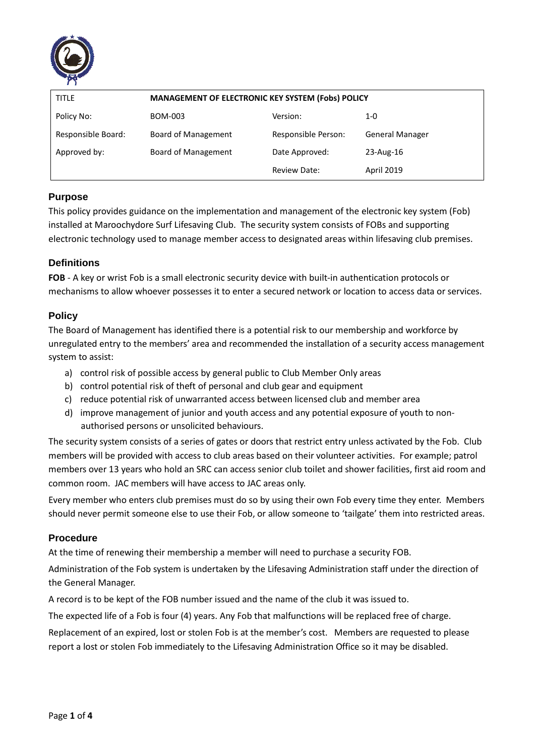

| <b>TITLE</b>       | MANAGEMENT OF ELECTRONIC KEY SYSTEM (Fobs) POLICY |                     |                        |  |  |  |  |
|--------------------|---------------------------------------------------|---------------------|------------------------|--|--|--|--|
| Policy No:         | BOM-003                                           | Version:            | 1-0                    |  |  |  |  |
| Responsible Board: | Board of Management                               | Responsible Person: | <b>General Manager</b> |  |  |  |  |
| Approved by:       | Board of Management                               | Date Approved:      | 23-Aug-16              |  |  |  |  |
|                    |                                                   | Review Date:        | <b>April 2019</b>      |  |  |  |  |

# **Purpose**

This policy provides guidance on the implementation and management of the electronic key system (Fob) installed at Maroochydore Surf Lifesaving Club. The security system consists of FOBs and supporting electronic technology used to manage member access to designated areas within lifesaving club premises.

### **Definitions**

**FOB** - A key or wrist Fob is a small electronic security device with built-in authentication protocols or mechanisms to allow whoever possesses it to enter a secured network or location to access data or services.

### **Policy**

The Board of Management has identified there is a potential risk to our membership and workforce by unregulated entry to the members' area and recommended the installation of a security access management system to assist:

- a) control risk of possible access by general public to Club Member Only areas
- b) control potential risk of theft of personal and club gear and equipment
- c) reduce potential risk of unwarranted access between licensed club and member area
- d) improve management of junior and youth access and any potential exposure of youth to nonauthorised persons or unsolicited behaviours.

The security system consists of a series of gates or doors that restrict entry unless activated by the Fob. Club members will be provided with access to club areas based on their volunteer activities. For example; patrol members over 13 years who hold an SRC can access senior club toilet and shower facilities, first aid room and common room. JAC members will have access to JAC areas only.

Every member who enters club premises must do so by using their own Fob every time they enter. Members should never permit someone else to use their Fob, or allow someone to 'tailgate' them into restricted areas.

### **Procedure**

At the time of renewing their membership a member will need to purchase a security FOB.

Administration of the Fob system is undertaken by the Lifesaving Administration staff under the direction of the General Manager.

A record is to be kept of the FOB number issued and the name of the club it was issued to.

The expected life of a Fob is four (4) years. Any Fob that malfunctions will be replaced free of charge.

Replacement of an expired, lost or stolen Fob is at the member's cost. Members are requested to please report a lost or stolen Fob immediately to the Lifesaving Administration Office so it may be disabled.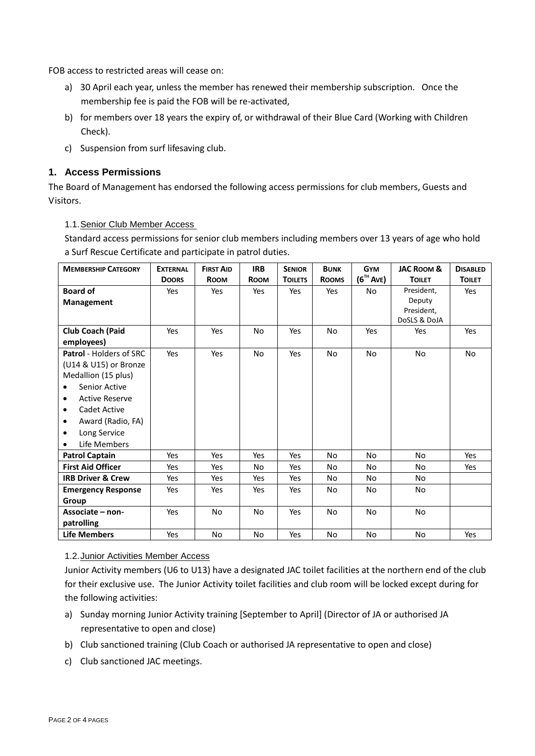FOB access to restricted areas will cease on:

- a) 30 April each year, unless the member has renewed their membership subscription. Once the membership fee is paid the FOB will be re-activated,
- b) for members over 18 years the expiry of, or withdrawal of their Blue Card (Working with Children Check).
- c) Suspension from surf lifesaving club.

## **1. Access Permissions**

The Board of Management has endorsed the following access permissions for club members, Guests and Visitors.

1.1.Senior Club Member Access

Standard access permissions for senior club members including members over 13 years of age who hold a Surf Rescue Certificate and participate in patrol duties.

| <b>MEMBERSHIP CATEGORY</b>         | <b>EXTERNAL</b> | <b>FIRST AID</b> | <b>IRB</b>  | <b>SENIOR</b>  | <b>BUNK</b>  | <b>GYM</b>     | <b>JAC ROOM &amp;</b> | <b>DISABLED</b> |
|------------------------------------|-----------------|------------------|-------------|----------------|--------------|----------------|-----------------------|-----------------|
|                                    | <b>DOORS</b>    | <b>ROOM</b>      | <b>ROOM</b> | <b>TOILETS</b> | <b>ROOMS</b> | $(6^{th}$ Ave) | <b>TOILET</b>         | <b>TOILET</b>   |
| <b>Board of</b>                    | Yes             | Yes              | Yes         | Yes            | Yes          | No             | President,            | Yes             |
| <b>Management</b>                  |                 |                  |             |                |              |                | Deputy                |                 |
|                                    |                 |                  |             |                |              |                | President,            |                 |
|                                    |                 |                  |             |                |              |                | DoSLS & DoJA          |                 |
| <b>Club Coach (Paid</b>            | Yes             | Yes              | <b>No</b>   | Yes            | No.          | Yes            | Yes                   | Yes             |
| employees)                         |                 |                  |             |                |              |                |                       |                 |
| <b>Patrol</b> - Holders of SRC     | Yes             | Yes              | <b>No</b>   | Yes            | No.          | No.            | <b>No</b>             | <b>No</b>       |
| (U14 & U15) or Bronze              |                 |                  |             |                |              |                |                       |                 |
| Medallion (15 plus)                |                 |                  |             |                |              |                |                       |                 |
| Senior Active<br>$\bullet$         |                 |                  |             |                |              |                |                       |                 |
| <b>Active Reserve</b><br>$\bullet$ |                 |                  |             |                |              |                |                       |                 |
| Cadet Active<br>٠                  |                 |                  |             |                |              |                |                       |                 |
| Award (Radio, FA)                  |                 |                  |             |                |              |                |                       |                 |
| Long Service<br>٠                  |                 |                  |             |                |              |                |                       |                 |
| Life Members<br>$\bullet$          |                 |                  |             |                |              |                |                       |                 |
| <b>Patrol Captain</b>              | Yes             | Yes              | Yes         | Yes            | <b>No</b>    | No.            | <b>No</b>             | Yes             |
| <b>First Aid Officer</b>           | Yes             | Yes              | No.         | Yes            | No.          | No             | No.                   | Yes             |
| <b>IRB Driver &amp; Crew</b>       | Yes             | Yes              | Yes         | Yes            | No.          | No.            | No.                   |                 |
| <b>Emergency Response</b>          | Yes             | Yes              | Yes         | Yes            | No           | No.            | No.                   |                 |
| Group                              |                 |                  |             |                |              |                |                       |                 |
| Associate – non-                   | Yes             | <b>No</b>        | <b>No</b>   | Yes            | No.          | No.            | <b>No</b>             |                 |
| patrolling                         |                 |                  |             |                |              |                |                       |                 |
| <b>Life Members</b>                | Yes             | <b>No</b>        | <b>No</b>   | Yes            | <b>No</b>    | No.            | <b>No</b>             | Yes             |

#### 1.2.Junior Activities Member Access

Junior Activity members (U6 to U13) have a designated JAC toilet facilities at the northern end of the club for their exclusive use. The Junior Activity toilet facilities and club room will be locked except during for the following activities:

- a) Sunday morning Junior Activity training [September to April] (Director of JA or authorised JA representative to open and close)
- b) Club sanctioned training (Club Coach or authorised JA representative to open and close)
- c) Club sanctioned JAC meetings.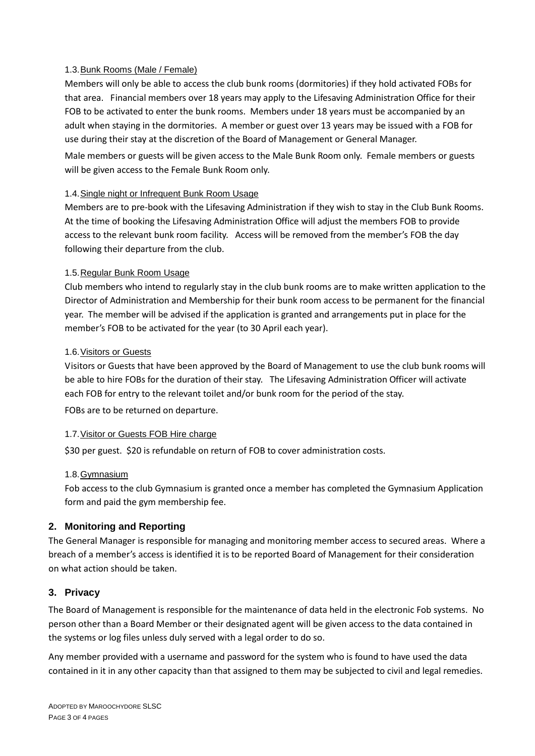### 1.3.Bunk Rooms (Male / Female)

Members will only be able to access the club bunk rooms (dormitories) if they hold activated FOBs for that area. Financial members over 18 years may apply to the Lifesaving Administration Office for their FOB to be activated to enter the bunk rooms. Members under 18 years must be accompanied by an adult when staying in the dormitories. A member or guest over 13 years may be issued with a FOB for use during their stay at the discretion of the Board of Management or General Manager. Male members or guests will be given access to the Male Bunk Room only. Female members or guests

will be given access to the Female Bunk Room only.

### 1.4.Single night or Infrequent Bunk Room Usage

Members are to pre-book with the Lifesaving Administration if they wish to stay in the Club Bunk Rooms. At the time of booking the Lifesaving Administration Office will adjust the members FOB to provide access to the relevant bunk room facility. Access will be removed from the member's FOB the day following their departure from the club.

#### 1.5.Regular Bunk Room Usage

Club members who intend to regularly stay in the club bunk rooms are to make written application to the Director of Administration and Membership for their bunk room access to be permanent for the financial year. The member will be advised if the application is granted and arrangements put in place for the member's FOB to be activated for the year (to 30 April each year).

#### 1.6.Visitors or Guests

Visitors or Guests that have been approved by the Board of Management to use the club bunk rooms will be able to hire FOBs for the duration of their stay. The Lifesaving Administration Officer will activate each FOB for entry to the relevant toilet and/or bunk room for the period of the stay.

FOBs are to be returned on departure.

### 1.7.Visitor or Guests FOB Hire charge

\$30 per guest. \$20 is refundable on return of FOB to cover administration costs.

### 1.8.Gymnasium

Fob access to the club Gymnasium is granted once a member has completed the Gymnasium Application form and paid the gym membership fee.

### **2. Monitoring and Reporting**

The General Manager is responsible for managing and monitoring member access to secured areas. Where a breach of a member's access is identified it is to be reported Board of Management for their consideration on what action should be taken.

### **3. Privacy**

The Board of Management is responsible for the maintenance of data held in the electronic Fob systems. No person other than a Board Member or their designated agent will be given access to the data contained in the systems or log files unless duly served with a legal order to do so.

Any member provided with a username and password for the system who is found to have used the data contained in it in any other capacity than that assigned to them may be subjected to civil and legal remedies.